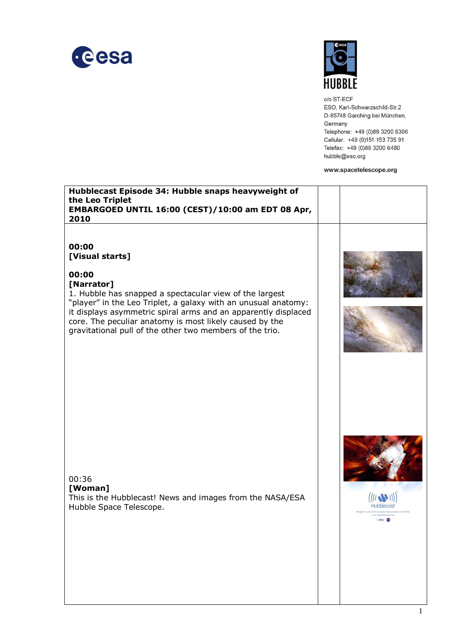



c/o ST-ECF ESO, Karl-Schwarzschild-Str.2 D-85748 Garching bei München, Germany Telephone: +49 (0)89 3200 6306 Cellular: +49 (0)151 153 735 91 Telefax: +49 (0)89 3200 6480 hubble@eso.org

www.spacetelescope.org

| Hubblecast Episode 34: Hubble snaps heavyweight of<br>the Leo Triplet<br>EMBARGOED UNTIL 16:00 (CEST)/10:00 am EDT 08 Apr,<br>2010                                                                                                                                                                                                                                    |             |
|-----------------------------------------------------------------------------------------------------------------------------------------------------------------------------------------------------------------------------------------------------------------------------------------------------------------------------------------------------------------------|-------------|
| 00:00<br>[Visual starts]<br>00:00<br>[Narrator]<br>1. Hubble has snapped a spectacular view of the largest<br>"player" in the Leo Triplet, a galaxy with an unusual anatomy:<br>it displays asymmetric spiral arms and an apparently displaced<br>core. The peculiar anatomy is most likely caused by the<br>gravitational pull of the other two members of the trio. |             |
| 00:36<br>[Woman]<br>This is the Hubblecast! News and images from the NASA/ESA<br>Hubble Space Telescope.                                                                                                                                                                                                                                                              | esa du<br>1 |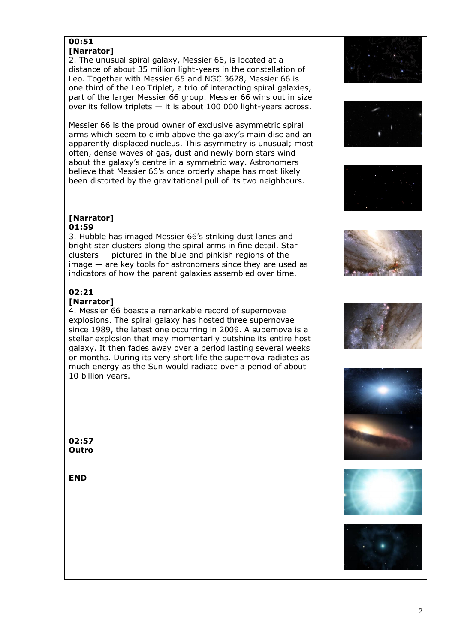## **00:51 [Narrator]**

2. The unusual spiral galaxy, Messier 66, is located at a distance of about 35 million light-years in the constellation of Leo. Together with Messier 65 and NGC 3628, Messier 66 is one third of the Leo Triplet, a trio of interacting spiral galaxies, part of the larger Messier 66 group. Messier 66 wins out in size over its fellow triplets — it is about 100 000 light-years across.

Messier 66 is the proud owner of exclusive asymmetric spiral arms which seem to climb above the galaxy's main disc and an apparently displaced nucleus. This asymmetry is unusual; most often, dense waves of gas, dust and newly born stars wind about the galaxy's centre in a symmetric way. Astronomers believe that Messier 66's once orderly shape has most likely been distorted by the gravitational pull of its two neighbours.

## **[Narrator] 01:59**

3. Hubble has imaged Messier 66's striking dust lanes and bright star clusters along the spiral arms in fine detail. Star clusters — pictured in the blue and pinkish regions of the image — are key tools for astronomers since they are used as indicators of how the parent galaxies assembled over time.

## **02:21**

## **[Narrator]**

4. Messier 66 boasts a remarkable record of supernovae explosions. The spiral galaxy has hosted three supernovae since 1989, the latest one occurring in 2009. A supernova is a stellar explosion that may momentarily outshine its entire host galaxy. It then fades away over a period lasting several weeks or months. During its very short life the supernova radiates as much energy as the Sun would radiate over a period of about 10 billion years.

**02:57 Outro**

**END**